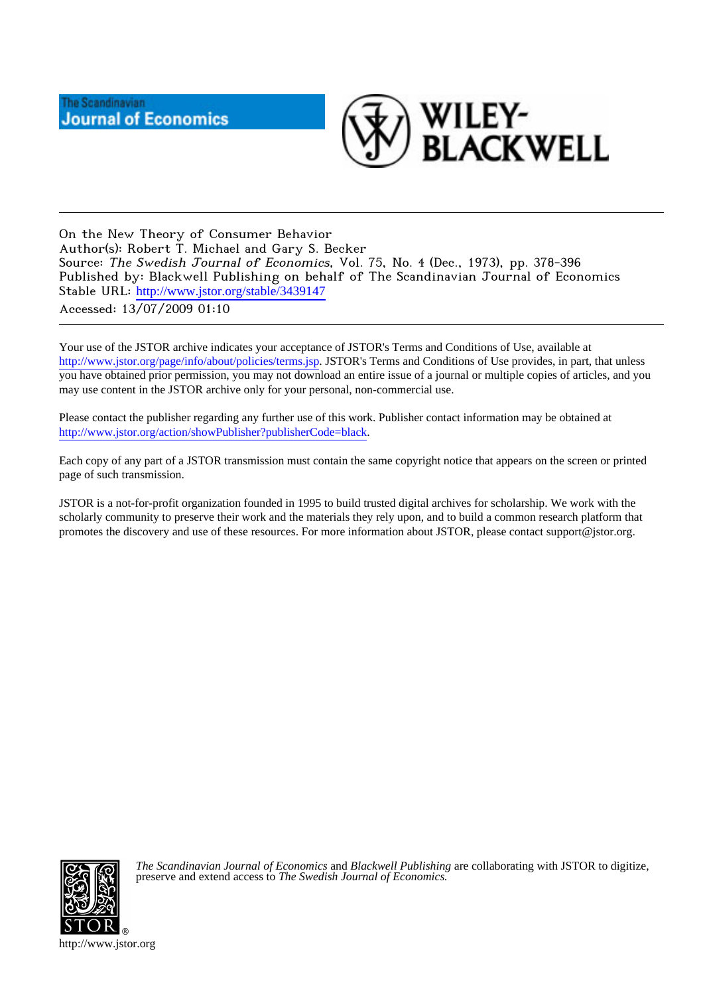



On the New Theory of Consumer Behavior Author(s): Robert T. Michael and Gary S. Becker Source: The Swedish Journal of Economics, Vol. 75, No. 4 (Dec., 1973), pp. 378-396 Published by: Blackwell Publishing on behalf of The Scandinavian Journal of Economics Stable URL: [http://www.jstor.org/stable/3439147](http://www.jstor.org/stable/3439147?origin=JSTOR-pdf) Accessed: 13/07/2009 01:10

Your use of the JSTOR archive indicates your acceptance of JSTOR's Terms and Conditions of Use, available at <http://www.jstor.org/page/info/about/policies/terms.jsp>. JSTOR's Terms and Conditions of Use provides, in part, that unless you have obtained prior permission, you may not download an entire issue of a journal or multiple copies of articles, and you may use content in the JSTOR archive only for your personal, non-commercial use.

Please contact the publisher regarding any further use of this work. Publisher contact information may be obtained at [http://www.jstor.org/action/showPublisher?publisherCode=black.](http://www.jstor.org/action/showPublisher?publisherCode=black)

Each copy of any part of a JSTOR transmission must contain the same copyright notice that appears on the screen or printed page of such transmission.

JSTOR is a not-for-profit organization founded in 1995 to build trusted digital archives for scholarship. We work with the scholarly community to preserve their work and the materials they rely upon, and to build a common research platform that promotes the discovery and use of these resources. For more information about JSTOR, please contact support@jstor.org.



*The Scandinavian Journal of Economics* and *Blackwell Publishing* are collaborating with JSTOR to digitize, preserve and extend access to *The Swedish Journal of Economics.*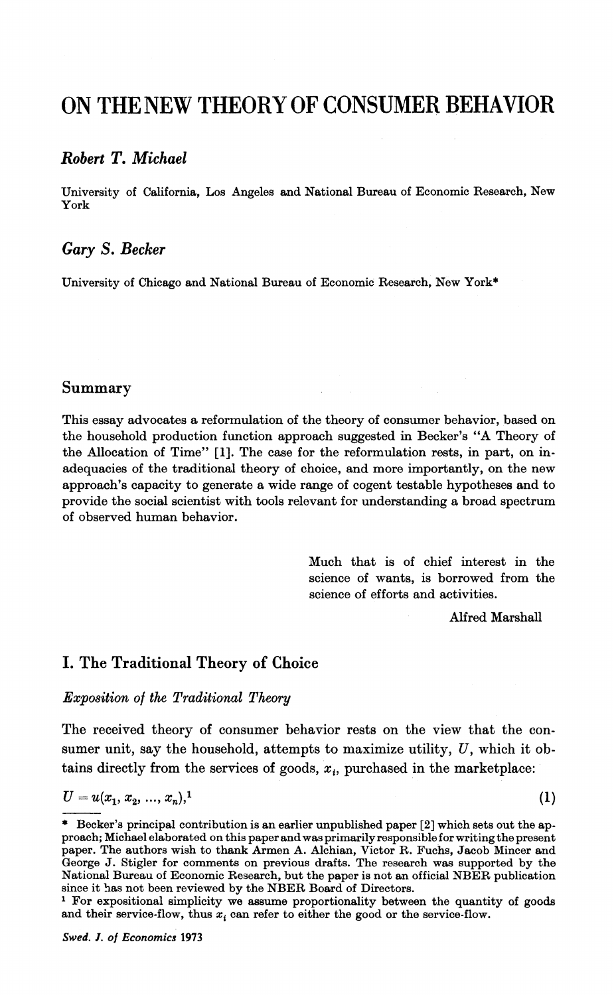# **ON THE NEW THEORY OF CONSUMER BEHAVIOR**

### **Robert T. Michael**

**University of California, Los Angeles and National Bureau of Economic Research, New York** 

## **Gary S. Becker**

**University of Chicago and National Bureau of Economic Research, New York\*** 

#### **Summary**

**This essay advocates a reformulation of the theory of consumer behavior, based on the household production function approach suggested in Becker's "A Theory of the Allocation of Time" [1]. The case for the reformulation rests, in part, on inadequacies of the traditional theory of choice, and more importantly, on the new approach's capacity to generate a wide range of cogent testable hypotheses and to provide the social scientist with tools relevant for understanding a broad spectrum of observed human behavior.** 

> **Much that is of chief interest in the science of wants, is borrowed from the science of efforts and activities.**

> > **Alfred Marshall**

### **I. The Traditional Theory of Choice**

#### **Exposition of the Traditional Theory**

**The received theory of consumer behavior rests on the view that the consumer unit, say the household, attempts to maximize utility, U, which it ob**tains directly from the services of goods,  $x_i$ , purchased in the marketplace:

$$
U = u(x_1, x_2, ..., x_n). \tag{1}
$$

**Swed. I. of Economics 1973** 

Becker's principal contribution is an earlier unpublished paper [2] which sets out the ap**proach; Michael elaborated on this paper and was primarily responsible for writing the present paper. The authors wish to thank Armen A. Alchian, Victor R. Fuchs, Jacob Mincer and George J. Stigler for comments on previous drafts. The research was supported by the National Bureau of Economic Research, but the paper is not an official NBER publication since it has not been reviewed by the NBER Board of Directors.** 

**<sup>1</sup> For expositional simplicity we assume proportionality between the quantity of goods**  and their service-flow, thus  $x_i$  can refer to either the good or the service-flow.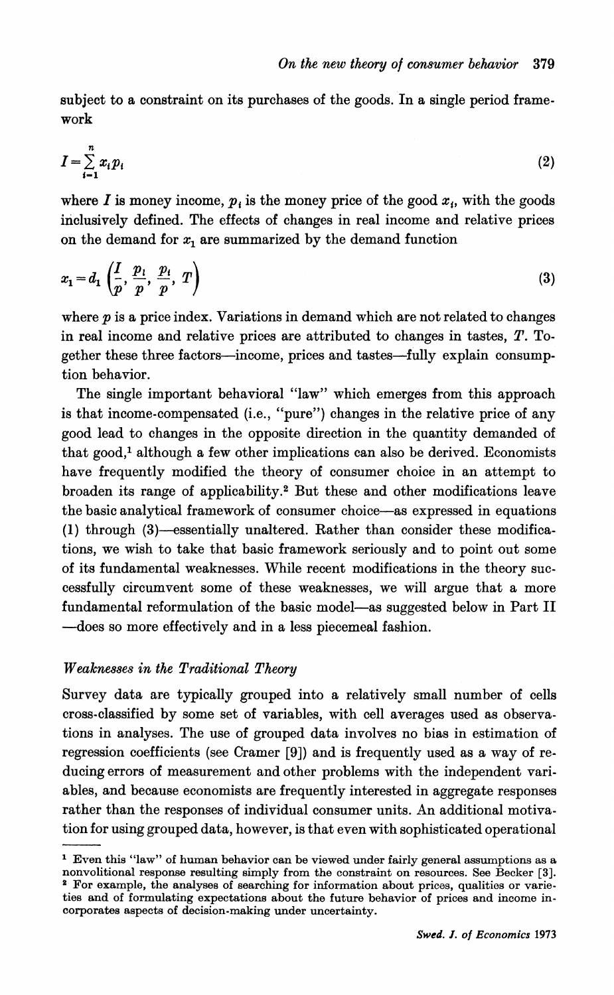**subject to a constraint on its purchases of the goods. In a single period framework** 

$$
I = \sum_{i=1}^{n} x_i p_i \tag{2}
$$

where I is money income,  $p_i$  is the money price of the good  $x_i$ , with the goods **inclusively defined. The effects of changes in real income and relative prices**  on the demand for  $x_1$  are summarized by the demand function

$$
x_1 = d_1 \left( \frac{I}{p}, \frac{p_1}{p}, \frac{p_i}{p}, T \right) \tag{3}
$$

**where p is a price index. Variations in demand which are not related to changes in real income and relative prices are attributed to changes in tastes, T. Together these three factors-income, prices and tastes-fully explain consumption behavior.** 

**The single important behavioral "law" which emerges from this approach is that income-compensated (i.e., "pure") changes in the relative price of any good lead to changes in the opposite direction in the quantity demanded of**  that good,<sup>1</sup> although a few other implications can also be derived. Economists **have frequently modified the theory of consumer choice in an attempt to broaden its range of applicability.2 But these and other modifications leave the basic analytical framework of consumer choice-as expressed in equations (1) through (3)-essentially unaltered. Rather than consider these modifications, we wish to take that basic framework seriously and to point out some of its fundamental weaknesses. While recent modifications in the theory successfully circumvent some of these weaknesses, we will argue that a more fundamental reformulation of the basic model-as suggested below in Part II -does so more effectively and in a less piecemeal fashion.** 

### **Weaknesses in the Traditional Theory**

**Survey data are typically grouped into a relatively small number of cells cross-classified by some set of variables, with cell averages used as observations in analyses. The use of grouped data involves no bias in estimation of regression coefficients (see Cramer [9]) and is frequently used as a way of reducing errors of measurement and other problems with the independent variables, and because economists are frequently interested in aggregate responses rather than the responses of individual consumer units. An additional motivation for using grouped data, however, is that even with sophisticated operational** 

**<sup>1</sup> Even this "law" of human behavior can be viewed under fairly general assumptions as a nonvolitional response resulting simply from the constraint on resources. See Becker [3]. 2 For example, the analyses of searching for information about prices, qualities or varieties and of formulating expectations about the future behavior of prices and income incorporates aspects of decision-making under uncertainty.**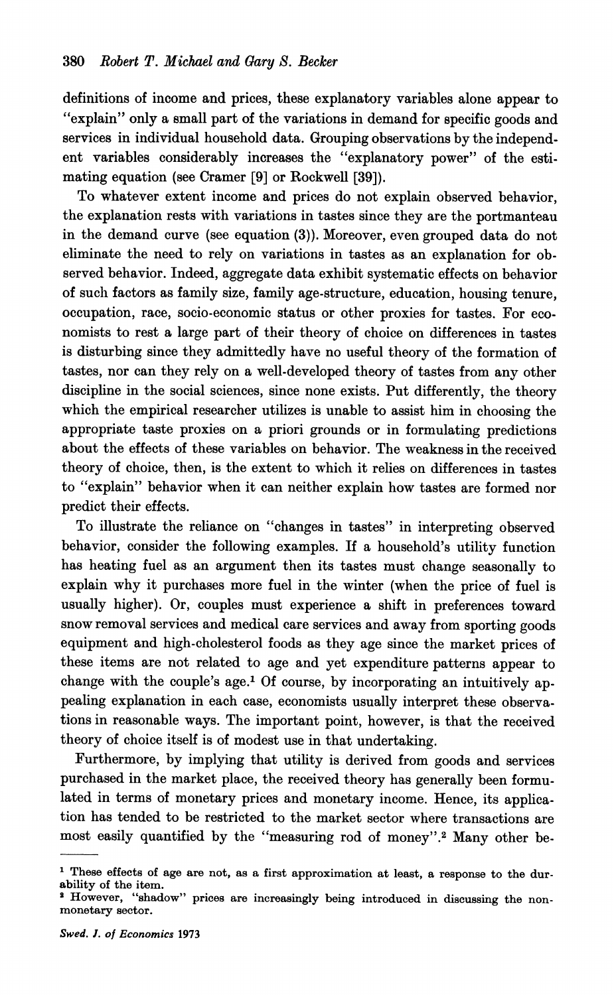**definitions of income and prices, these explanatory variables alone appear to "explain" only a small part of the variations in demand for specific goods and services in individual household data. Grouping observations by the independent variables considerably increases the "explanatory power" of the estimating equation (see Cramer [9] or Rockwell [39]).** 

**To whatever extent income and prices do not explain observed behavior, the explanation rests with variations in tastes since they are the portmanteau in the demand curve (see equation (3)). Moreover, even grouped data do not eliminate the need to rely on variations in tastes as an explanation for observed behavior. Indeed, aggregate data exhibit systematic effects on behavior of such factors as family size, family age-structure, education, housing tenure, occupation, race, socio-economic status or other proxies for tastes. For economists to rest a large part of their theory of choice on differences in tastes is disturbing since they admittedly have no useful theory of the formation of tastes, nor can they rely on a well-developed theory of tastes from any other discipline in the social sciences, since none exists. Put differently, the theory which the empirical researcher utilizes is unable to assist him in choosing the appropriate taste proxies on a priori grounds or in formulating predictions about the effects of these variables on behavior. The weakness in the received theory of choice, then, is the extent to which it relies on differences in tastes to "explain" behavior when it can neither explain how tastes are formed nor predict their effects.** 

**To illustrate the reliance on "changes in tastes" in interpreting observed behavior, consider the following examples. If a household's utility function has heating fuel as an argument then its tastes must change seasonally to explain why it purchases more fuel in the winter (when the price of fuel is usually higher). Or, couples must experience a shift in preferences toward snow removal services and medical care services and away from sporting goods equipment and high-cholesterol foods as they age since the market prices of these items are not related to age and yet expenditure patterns appear to change with the couple's age.1 Of course, by incorporating an intuitively appealing explanation in each case, economists usually interpret these observations in reasonable ways. The important point, however, is that the received theory of choice itself is of modest use in that undertaking.** 

**Furthermore, by implying that utility is derived from goods and services purchased in the market place, the received theory has generally been formulated in terms of monetary prices and monetary income. Hence, its application has tended to be restricted to the market sector where transactions are most easily quantified by the "measuring rod of money".2 Many other be-**

**<sup>1</sup> These effects of age are not, as a first approximation at least, a response to the durability of the item.** 

**<sup>2</sup> However, "shadow" prices are increasingly being introduced in discussing the nonmonetary sector.**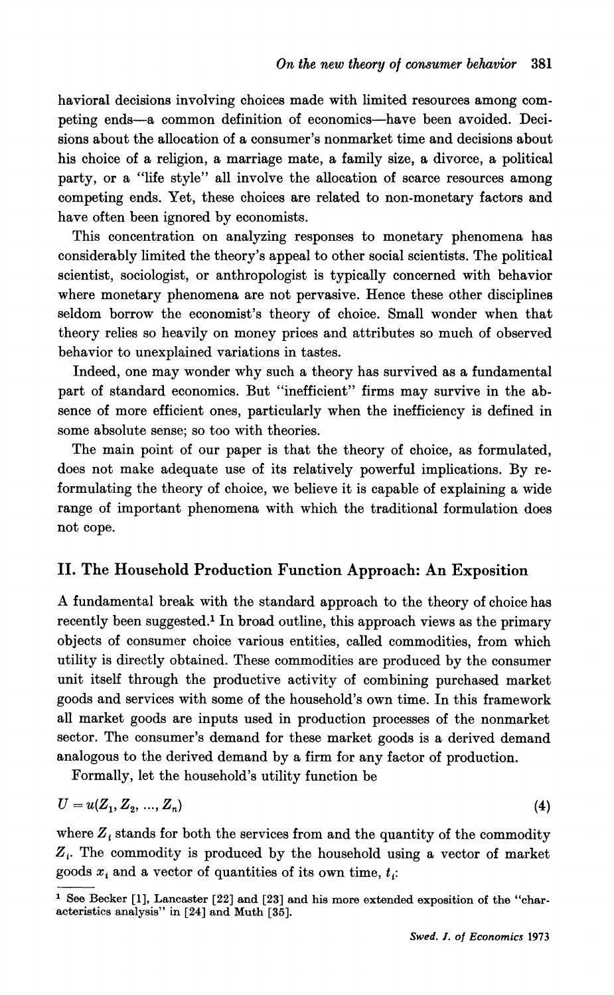**havioral decisions involving choices made with limited resources among competing ends-a common definition of economics-have been avoided. Decisions about the allocation of a consumer's nonmarket time and decisions about his choice of a religion, a marriage mate, a family size, a divorce, a political party, or a "life style" all involve the allocation of scarce resources among competing ends. Yet, these choices are related to non-monetary factors and have often been ignored by economists.** 

**This concentration on analyzing responses to monetary phenomena has considerably limited the theory's appeal to other social scientists. The political scientist, sociologist, or anthropologist is typically concerned with behavior where monetary phenomena are not pervasive. Hence these other disciplines seldom borrow the economist's theory of choice. Small wonder when that theory relies so heavily on money prices and attributes so much of observed behavior to unexplained variations in tastes.** 

**Indeed, one may wonder why such a theory has survived as a fundamental**  part of standard economics. But "inefficient" firms may survive in the ab**sence of more efficient ones, particularly when the inefficiency is defined in some absolute sense; so too with theories.** 

**The main point of our paper is that the theory of choice, as formulated, does not make adequate use of its relatively powerful implications. By reformulating the theory of choice, we believe it is capable of explaining a wide range of important phenomena with which the traditional formulation does not cope.** 

# **II. The Household Production Function Approach: An Exposition**

**A fundamental break with the standard approach to the theory of choice has recently been suggested.' In broad outline, this approach views as the primary objects of consumer choice various entities, called commodities, from which utility is directly obtained. These commodities are produced by the consumer unit itself through the productive activity of combining purchased market goods and services with some of the household's own time. In this framework all market goods are inputs used in production processes of the nonmarket sector. The consumer's demand for these market goods is a derived demand analogous to the derived demand by a firm for any factor of production.** 

**Formally, let the household's utility function be** 

$$
U = u(Z_1, Z_2, ..., Z_n) \tag{4}
$$

where  $Z_i$  stands for both the services from and the quantity of the commodity **Zi. The commodity is produced by the household using a vector of market**  goods  $x_i$  and a vector of quantities of its own time,  $t_i$ :

**<sup>1</sup> See Becker [1], Lancaster [22] and [23] and his more extended exposition of the "characteristics analysis" in [24] and Muth [35].**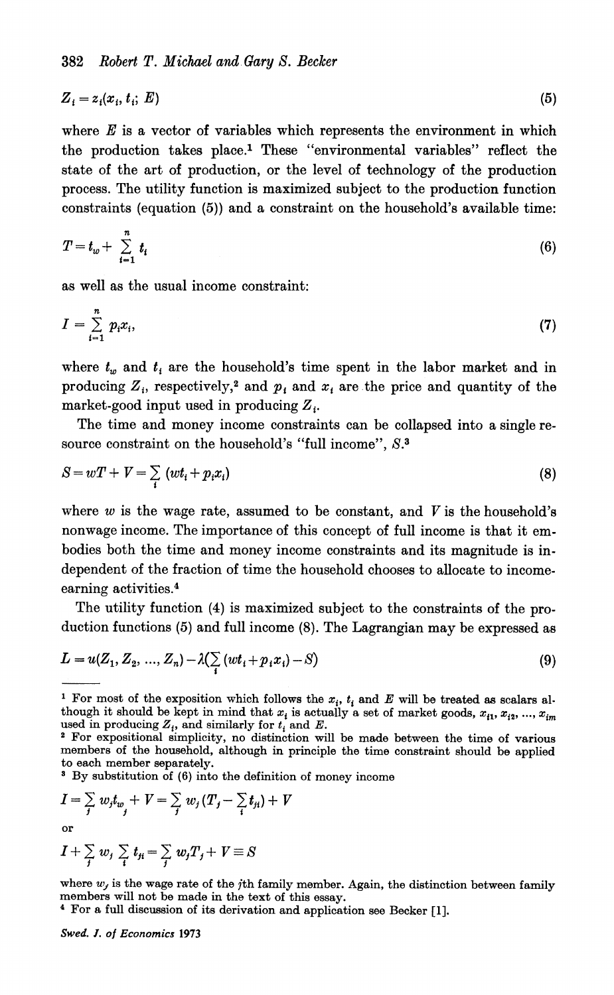$$
Z_i = z_i(x_i, t_i; E) \tag{5}
$$

**where E is a vector of variables which represents the environment in which the production takes place.' These "environmental variables" reflect the state of the art of production, or the level of technology of the production process. The utility function is maximized subject to the production function constraints (equation (5)) and a constraint on the household's available time:** 

$$
T = t_w + \sum_{i=1}^n t_i \tag{6}
$$

**as well as the usual income constraint:** 

$$
I=\sum_{i=1}^n p_ix_i,\tag{7}
$$

where  $t<sub>w</sub>$  and  $t<sub>i</sub>$  are the household's time spent in the labor market and in producing  $Z_i$ , respectively,<sup>2</sup> and  $p_i$  and  $x_i$  are the price and quantity of the market-good input used in producing  $Z_i$ .

**The time and money income constraints can be collapsed into a single resource constraint on the household's "full income", S.3** 

$$
S = wT + V = \sum_{i} (wt_i + p_i x_i)
$$
\n(8)

**where w is the wage rate, assumed to be constant, and V is the household's nonwage income. The importance of this concept of full income is that it embodies both the time and money income constraints and its magnitude is independent of the fraction of time the household chooses to allocate to incomeearning activities.4** 

**The utility function (4) is maximized subject to the constraints of the production functions (5) and full income (8). The Lagrangian may be expressed as** 

$$
L = u(Z_1, Z_2, ..., Z_n) - \lambda \left( \sum_i \left( wt_i + p_i x_i \right) - S \right)
$$
\n(9)

**<sup>2</sup>For expositional simplicity, no distinction will be made between the time of various members of the household, although in principle the time constraint should be applied** 

<sup>8</sup> By substitution of (6) into the definition of money income

$$
I=\sum_j w_j t_{w_j}+V=\sum_j w_j(T_j-\sum_i t_{ji})+V
$$

**or** 

$$
I+\sum_j w_j \sum_i t_{ji}=\sum_j w_j T_j+V\equiv S
$$

where  $w_j$  is the wage rate of the *j*th family member. Again, the distinction between family members will not be made in the text of this essay.

<sup>4</sup> For a full discussion of its derivation and application see Becker [1].

**Swed. I. of Economics 1973** 

<sup>&</sup>lt;sup>1</sup> For most of the exposition which follows the  $x_i$ ,  $t_i$  and  $E$  will be treated as scalars although it should be kept in mind that  $x_i$  is actually a set of market goods,  $x_{i1}, x_{i2}, ..., x_{im}$  used in producing  $Z_i$ , and similarly for  $t_i$  and  $E$ .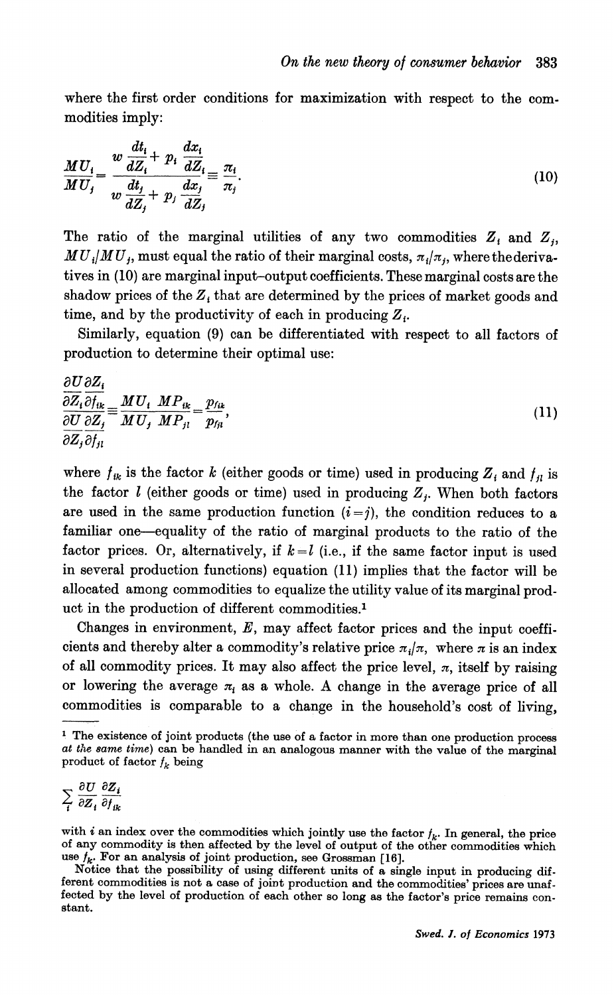**where the first order conditions for maximization with respect to the commodities imply:** 

$$
\frac{MU_i}{MU_j} = \frac{w \frac{dt_i}{dZ_i} + p_i \frac{dx_i}{dZ_i}}{w \frac{dt_j}{dZ_j} + p_j \frac{dx_j}{dZ_j}} = \frac{\pi_i}{\pi_j}.
$$
\n(10)

The ratio of the marginal utilities of any two commodities  $Z_i$  and  $Z_j$ ,  $MU_i/MU_j$ , must equal the ratio of their marginal costs,  $\pi_i/\pi_j$ , where the deriva**tives in (10) are marginal input-output coefficients. These marginal costs are the**  shadow prices of the  $Z_i$  that are determined by the prices of market goods and time, and by the productivity of each in producing  $Z_i$ .

**Similarly, equation (9) can be differentiated with respect to all factors of production to determine their optimal use:** 

$$
\frac{\partial U}{\partial Z_i} \frac{\partial Z_i}{\partial f_{ik}} \equiv \frac{M U_i}{M U_j} \frac{M P_{ik}}{M P_{jl}} = \frac{p_{li}}{p_{lji}},
$$
\n
$$
\frac{\partial U}{\partial Z_j} \frac{\partial Z_j}{\partial f_{jl}} = \frac{M U_i}{M P_{jl}} \frac{M P_{ik}}{P_{lji}},
$$
\n(11)

where  $f_{ik}$  is the factor k (either goods or time) used in producing  $Z_i$  and  $f_{jl}$  is the factor  $l$  (either goods or time) used in producing  $Z_j$ . When both factors are used in the same production function  $(i=j)$ , the condition reduces to a familiar one-equality of the ratio of marginal products to the ratio of the factor prices. Or, alternatively, if  $k=l$  (i.e., if the same factor input is used **in several production functions) equation (11) implies that the factor will be allocated among commodities to equalize the utility value of its marginal product in the production of different commodities.l** 

**Changes in environment, E, may affect factor prices and the input coeffi**cients and thereby alter a commodity's relative price  $\pi_i/\pi$ , where  $\pi$  is an index of all commodity prices. It may also affect the price level,  $\pi$ , itself by raising or lowering the average  $\pi_i$  as a whole. A change in the average price of all **commodities is comparable to a change in the household's cost of living,** 

$$
\sum_{i} \frac{\partial U}{\partial Z_i} \frac{\partial Z_i}{\partial f_{ik}}
$$

 $\ddotsc$ 

with *i* an index over the commodities which jointly use the factor  $f_k$ . In general, the price of any commodity is then affected by the level of output of the other commodities which use  $f_k$ . For an analysis of joint production, see Grossman [16].

**<sup>1</sup> The existence of joint products (the use of a factor in more than one production process at the same time) can be handled in an analogous manner with the value of the marginal**  product of factor  $f_k$  being

**Notice that the possibility of using different units of a single input in producing dif**ferent commodities is not a case of joint production and the commodities' prices are unaf**fected by the level of production of each other so long as the factor's price remains constant.**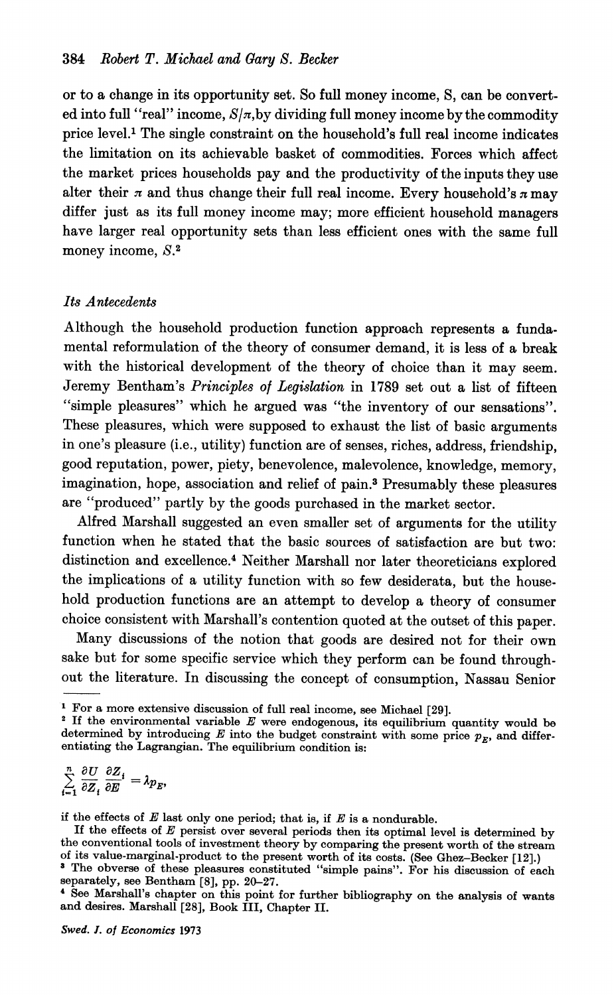**or to a change in its opportunity set. So full money income, S, can be convert**ed into full "real" income,  $S/\pi$ , by dividing full money income by the commodity **price level.' The single constraint on the household's full real income indicates the limitation on its achievable basket of commodities. Forces which affect the market prices households pay and the productivity of the inputs they use**  alter their  $\pi$  and thus change their full real income. Every household's  $\pi$  may **differ just as its full money income may; more efficient household managers have larger real opportunity sets than less efficient ones with the same full money income, S.2** 

### **Its Antecedents**

**Although the household production function approach represents a fundamental reformulation of the theory of consumer demand, it is less of a break with the historical development of the theory of choice than it may seem. Jeremy Bentham's Principles of Legislation in 1789 set out a list of fifteen "simple pleasures" which he argued was "the inventory of our sensations". These pleasures, which were supposed to exhaust the list of basic arguments in one's pleasure (i.e., utility) function are of senses, riches, address, friendship, good reputation, power, piety, benevolence, malevolence, knowledge, memory, imagination, hope, association and relief of pain.3 Presumably these pleasures are "produced" partly by the goods purchased in the market sector.** 

**Alfred Marshall suggested an even smaller set of arguments for the utility function when he stated that the basic sources of satisfaction are but two: distinction and excellence.4 Neither Marshall nor later theoreticians explored the implications of a utility function with so few desiderata, but the household production functions are an attempt to develop a theory of consumer choice consistent with Marshall's contention quoted at the outset of this paper.** 

**Many discussions of the notion that goods are desired not for their own sake but for some specific service which they perform can be found throughout the literature. In discussing the concept of consumption, Nassau Senior** 

$$
\sum_{i=1}^n \frac{\partial U}{\partial Z_i} \frac{\partial Z_i}{\partial E} = \lambda p_E,
$$

**<sup>1</sup>For a more extensive discussion of full real income, see Michael [29]. 2 If the environmental variable E were endogenous, its equilibrium quantity would be**  determined by introducing  $E$  into the budget constraint with some price  $p_E$ , and differ**entiating the Lagrangian. The equilibrium condition is:** 

if the effects of  $E$  last only one period; that is, if  $E$  is a nondurable.<br>If the effects of  $E$  persist over several periods then its optimal level is determined by the conventional tools of investment theory by comparing the present worth of the stream **of its value-marginal-product to the present worth of its costs. (See Ghez-Becker [12].) <sup>3</sup>The obverse of these pleasures constituted "simple pains". For his discussion of each** 

**separately, see Bentham [8], pp. 20-27.** 

**<sup>4</sup>See Marshall's chapter on this point for further bibliography on the analysis of wants and desires. Marshall [28], Book III, Chapter II.**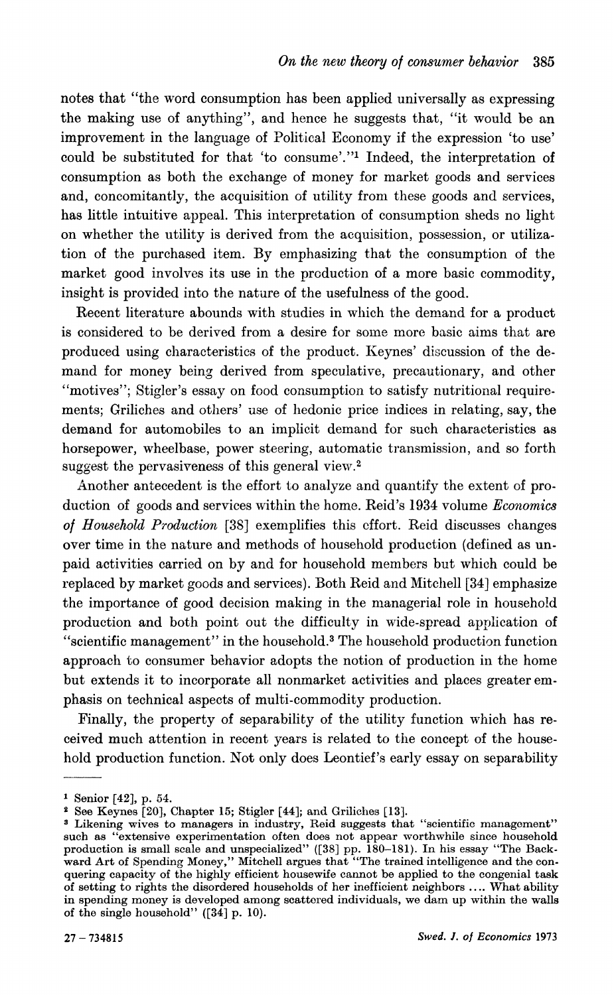**notes that "the word consumption has been applied universally as expressing the making use of anything", and hence he suggests that, "it would be an improvement in the language of Political Economy if the expression 'to use' could be substituted for that 'to consume'."' Indeed, the interpretation of consumption as both the exchange of money for market goods and services and, concomitantly, the acquisition of utility from these goods and services, has little intuitive appeal. This interpretation of consumption sheds no light on whether the utility is derived from the acquisition, possession, or utilization of the purchased item. By emphasizing that the consumption of the market good involves its use in the production of a more basic commodity, insight is provided into the nature of the usefulness of the good.** 

**Recent literature abounds with studies in which the demand for a product is considered to be derived from a desire for some more basic aims that are produced using characteristics of the product. Keynes' discussion of the demand for money being derived from speculative, precautionary, and other "motives"; Stigler's essay on food consumption to satisfy nutritional requirements; Griliches and others' use of hedonic price indices in relating, say, the demand for automobiles to an implicit demand for such characteristics as horsepower, wheelbase, power steering, automatic transmission, and so forth suggest the pervasiveness of this general view.2** 

**Another antecedent is the effort to analyze and quantify the extent of production of goods and services within the home. Reid's 1934 volume Economics of Household Production [38] exemplifies this effort. Reid discusses changes over time in the nature and methods of household production (defined as unpaid activities carried on by and for household members but which could be replaced by market goods and services). Both Reid and Mitchell [34] emphasize the importance of good decision making in the managerial role in household production and both point out the difficulty in wide-spread application of "scientific management" in the household.3 The household production function approach to consumer behavior adopts the notion of production in the home but extends it to incorporate all nonmarket activities and places greater emphasis on technical aspects of multi-commodity production.** 

**Finally, the property of separability of the utility function which has received much attention in recent years is related to tie concept of the household production function. Not only does Leontief's early essay on separability** 

**<sup>1</sup> Senior [42], p. 54.** 

**<sup>2</sup>See Keynes [20], Chapter 15; Stigler [44]; and Griliches [13].** 

**<sup>3</sup> Likening wives to managers in industry, Reid suggests that "scientific management" such as "extensive experimentation often does not appear worthwhile since household production is small scale and unspecialized" ([38] pp. 180-181). In his essay "The Backward Art of Spending Money," Mitchell argues that "The trained intelligence and the conquering capacity of the highly efficient housewife cannot be applied to the congenial task of setting to rights the disordered households of her inefficient neighbors .... What ability in spending money is developed among scattered individuals, we dam up within the walls of the single household" ([34] p. 10).**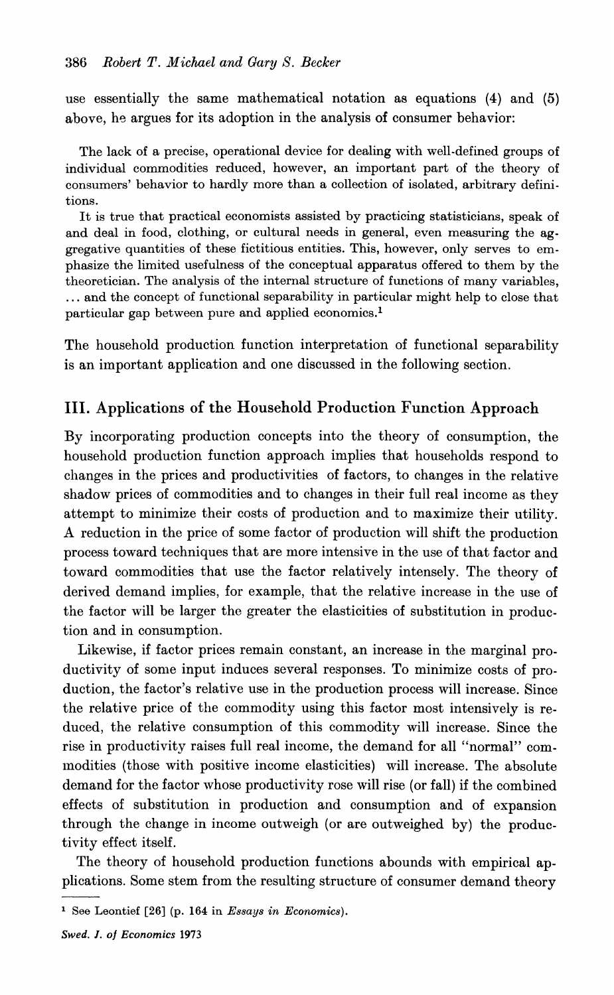**use essentially the same mathematical notation as equations (4) and (5) above, he argues for its adoption in the analysis of consumer behavior:** 

**The lack of a precise, operational device for dealing with well-defined groups of individual commodities reduced, however, an important part of the theory of consumers' behavior to hardly more than a collection of isolated, arbitrary definitions.** 

**It is true that practical economists assisted by practicing statisticians, speak of and deal in food, clothing, or cultural needs in general, even measuring the aggregative quantities of these fictitious entities. This, however, only serves to emphasize the limited usefulness of the conceptual apparatus offered to them by the theoretician. The analysis of the internal structure of functions of many variables, ... and the concept of functional separability in particular might help to close that particular gap between pure and applied economics.1** 

**The household production function interpretation of functional separability is an important application and one discussed in the following section.** 

## **III. Applications of the Household Production Function Approach**

**By incorporating production concepts into the theory of consumption, the household production function approach implies that households respond to changes in the prices and productivities of factors, to changes in the relative shadow prices of commodities and to changes in their full real income as they attempt to minimize their costs of production and to maximize their utility. A reduction in the price of some factor of production will shift the production process toward techniques that are more intensive in the use of that factor and toward commodities that use the factor relatively intensely. The theory of derived demand implies, for example, that the relative increase in the use of the factor will be larger the greater the elasticities of substitution in production and in consumption.** 

**Likewise, if factor prices remain constant, an increase in the marginal productivity of some input induces several responses. To minimize costs of production, the factor's relative use in the production process will increase. Since the relative price of the commodity using this factor most intensively is reduced, the relative consumption of this commodity will increase. Since the rise in productivity raises full real income, the demand for all "normal" commodities (those with positive income elasticities) will increase. The absolute demand for the factor whose productivity rose will rise (or fall) if the combined effects of substitution in production and consumption and of expansion through the change in income outweigh (or are outweighed by) the productivity effect itself.** 

**The theory of household production functions abounds with empirical applications. Some stem from the resulting structure of consumer demand theory** 

**<sup>1</sup> See Leontief [26] (p. 164 in Essays in Economics).**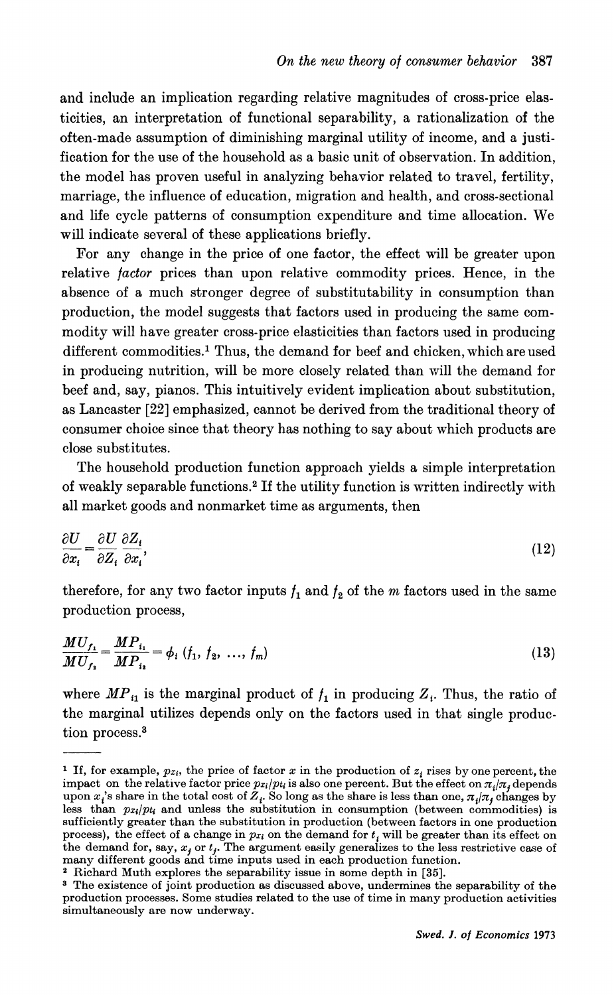**and include an implication regarding relative magnitudes of cross-price elasticities, an interpretation of functional separability, a rationalization of the often-made assumption of diminishing marginal utility of income, and a justification for the use of the household as a basic unit of observation. In addition, the model has proven useful in analyzing behavior related to travel, fertility, marriage, the influence of education, migration and health, and cross-sectional and life cycle patterns of consumption expenditure and time allocation. We will indicate several of these applications briefly.** 

**For any change in the price of one factor, the effect will be greater upon relative factor prices than upon relative commodity prices. Hence, in the absence of a much stronger degree of substitutability in consumption than production, the model suggests that factors used in producing the same commodity will have greater cross-price elasticities than factors used in producing different commodities.' Thus, the demand for beef and chicken, which are used in producing nutrition, will be more closely related than will the demand for beef and, say, pianos. This intuitively evident implication about substitution, as Lancaster [22] emphasized, cannot be derived from the traditional theory of consumer choice since that theory has nothing to say about which products are close substitutes.** 

**The household production function approach yields a simple interpretation of weakly separable functions.2 If the utility function is written indirectly with all market goods and nonmarket time as arguments, then** 

$$
\frac{\partial U}{\partial x_i} = \frac{\partial U}{\partial Z_i} \frac{\partial Z_i}{\partial x_i},\tag{12}
$$

therefore, for any two factor inputs  $f_1$  and  $f_2$  of the m factors used in the same **production process,** 

$$
\frac{MU_{f_1}}{MU_{f_2}} = \frac{MP_{i_1}}{MP_{i_1}} = \phi_i \ (f_1, f_2, \ \ldots, \ f_m)
$$
\n(13)

where  $\boldsymbol{MP}_{i1}$  is the marginal product of  $f_1$  in producing  $Z_i$ . Thus, the ratio of **the marginal utilizes depends only on the factors used in that single production process.3** 

**<sup>1</sup> If, for example,**  $p_{xi}$ **, the price of factor x in the production of**  $z_i$  **rises by one percent, the** impact on the relative factor price  $p_{x_i}/p_i$  is also one percent. But the effect on  $\pi_i/\pi_j$  depends upon  $x_i$ 's share in the total cost of  $Z_i$ . So long as the share is less than one,  $\pi_i/\pi_j$  changes by less than  $px_i/pt_i$  and unless the substitution in consumption (between commodities) is **sufficiently greater than the substitution in production (between factors in one production**  process), the effect of a change in  $p_{x_i}$  on the demand for  $t_i$  will be greater than its effect on the demand for, say,  $x_j$  or  $t_j$ . The argument easily generalizes to the less restrictive case of **many different goods and time inputs used in each production function.** 

**<sup>2</sup>Richard Muth explores the separability issue in some depth in [35]. 3 The existence of joint production as discussed above, undermines the separability of the production processes. Some studies related to the use of time in many production activities simultaneously are now underway.**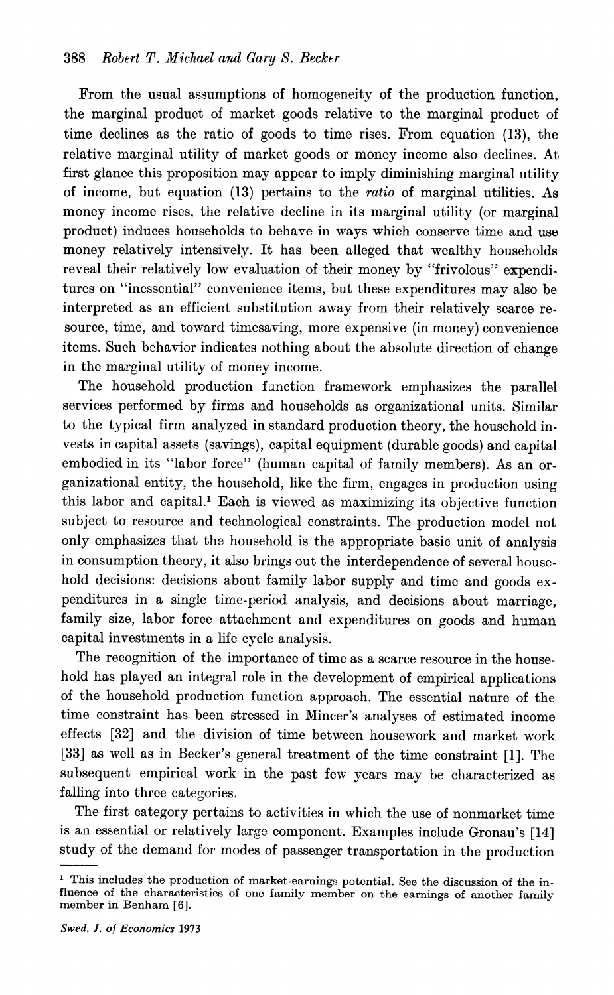**From the usual assumptions of homogeneity of the production function, the marginal product of market goods relative to the marginal product of time declines as the ratio of goods to time rises. From equation (13), the relative marginal utility of market goods or money income also declines. At first glance this proposition may appear to imply diminishing marginal utility of income, but equation (13) pertains to the ratio of marginal utilities. As money income rises, the relative decline in its marginal utility (or marginal product) induces households to behave in ways which conserve time and use money relatively intensively. It has been alleged that wealthy households reveal their relatively low evaluation of their money by "frivolous" expenditures on "inessential" convenience items, but these expenditures may also be interpreted as an efficient substitution away from their relatively scarce resource, time, and toward timesaving, more expensive (in money) convenience items. Such behavior indicates nothing about the absolute direction of change in the marginal utility of money income.** 

**The household production function framework emphasizes the parallel services performed by firms and households as organizational units. Similar to the typical firm analyzed in standard production theory, the household invests in capital assets (savings), capital equipment (durable goods) and capital embodied in its "labor force" (human capital of family members). As an organizational entity, the household, like the firm, engages in production using this labor and capital.' Each is viewed as maximizing its objective function subject to resource and technological constraints. The production model not only emphasizes that the household is the appropriate basic unit of analysis in consumption theory, it also brings out the interdependence of several household decisions: decisions about family labor supply and time and goods expenditures in a single time-period analysis, and decisions about marriage, family size, labor force attachment and expenditures on goods and human capital investments in a life cycle analysis.** 

**The recognition of the importance of time as a scarce resource in the household has played an integral role in the development of empirical applications of the household production function approach. The essential nature of the time constraint has been stressed in Mincer's analyses of estimated income effects [32] and the division of time between housework and market work [33] as well as in Becker's general treatment of the time constraint [1]. The subsequent empirical work in the past few years may be characterized as falling into three categories.** 

**The first category pertains to activities in which the use of nonmarket time is an essential or relatively large component. Examples include Gronau's [14] study of the demand for modes of passenger transportation in the production** 

**<sup>1</sup> This includes the production of market-earnings potential. See the discussion of the influence of the characteristics of one family member on the earnings of another family member in Benham [6].**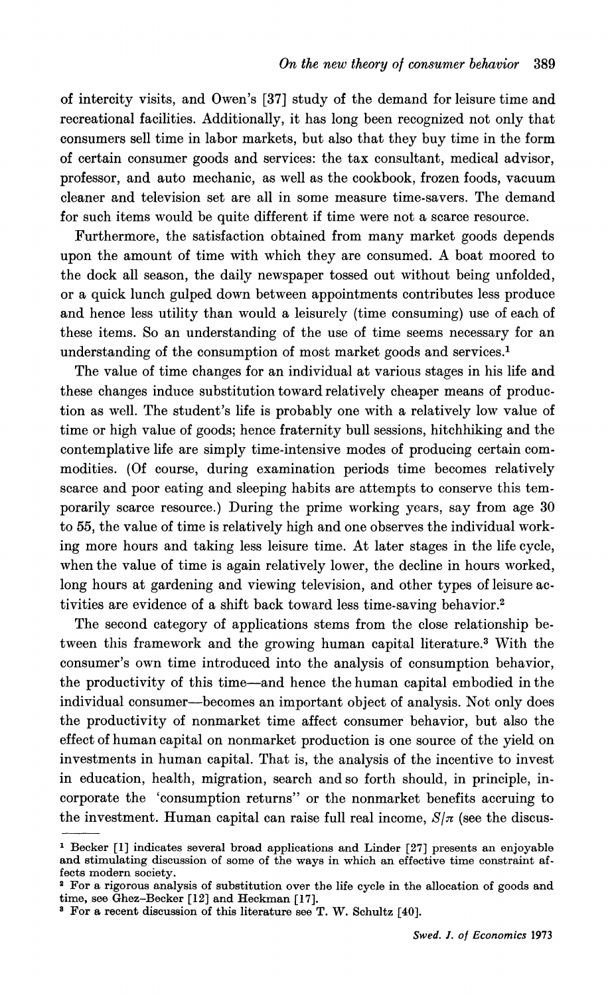**of intercity visits, and Owen's [37] study of the demand for leisure time and recreational facilities. Additionally, it has long been recognized not only that consumers sell time in labor markets, but also that they buy time in the form of certain consumer goods and services: the tax consultant, medical advisor, professor, and auto mechanic, as well as the cookbook, frozen foods, vacuum cleaner and television set are all in some measure time-savers. The demand for such items would be quite different if time were not a scarce resource.** 

**Furthermore, the satisfaction obtained from many market goods depends upon the amount of time with which they are consumed. A boat moored to the dock all season, the daily newspaper tossed out without being unfolded, or a quick lunch gulped down between appointments contributes less produce and hence less utility than would a leisurely (time consuming) use of each of these items. So an understanding of the use of time seems necessary for an understanding of the consumption of most market goods and services.1** 

**The value of time changes for an individual at various stages in his life and these changes induce substitution toward relatively cheaper means of production as well. The student's life is probably one with a relatively low value of time or high value of goods; hence fraternity bull sessions, hitchhiking and the contemplative life are simply time-intensive modes of producing certain commodities. (Of course, during examination periods time becomes relatively scarce and poor eating and sleeping habits are attempts to conserve this temporarily scarce resource.) During the prime working years, say from age 30 to 55, the value of time is relatively high and one observes the individual working more hours and taking less leisure time. At later stages in the life cycle, when the value of time is again relatively lower, the decline in hours worked, long hours at gardening and viewing television, and other types of leisure activities are evidence of a shift back toward less time-saving behavior.2** 

**The second category of applications stems from the close relationship between this framework and the growing human capital literature.3 With the consumer's own time introduced into the analysis of consumption behavior, the productivity of this time-and hence the human capital embodied in the individual consumer-becomes an important object of analysis. Not only does the productivity of nonmarket time affect consumer behavior, but also the effect of human capital on nonmarket production is one source of the yield on investments in human capital. That is, the analysis of the incentive to invest in education, health, migration, search and so forth should, in principle, incorporate the 'consumption returns" or the nonmarket benefits accruing to**  the investment. Human capital can raise full real income,  $S/\pi$  (see the discus-

**<sup>1</sup> Becker [1] indicates several broad applications and Linder [27] presents an enjoyable and stimulating discussion of some of the ways in which an effective time constraint affects modern society.** 

**<sup>2</sup>For a rigorous analysis of substitution over the life cycle in the allocation of goods and time, see Ghez-Becker [12] and Heckman [17].** 

**<sup>8</sup>For a recent discussion of this literature see T. W. Schultz [40].**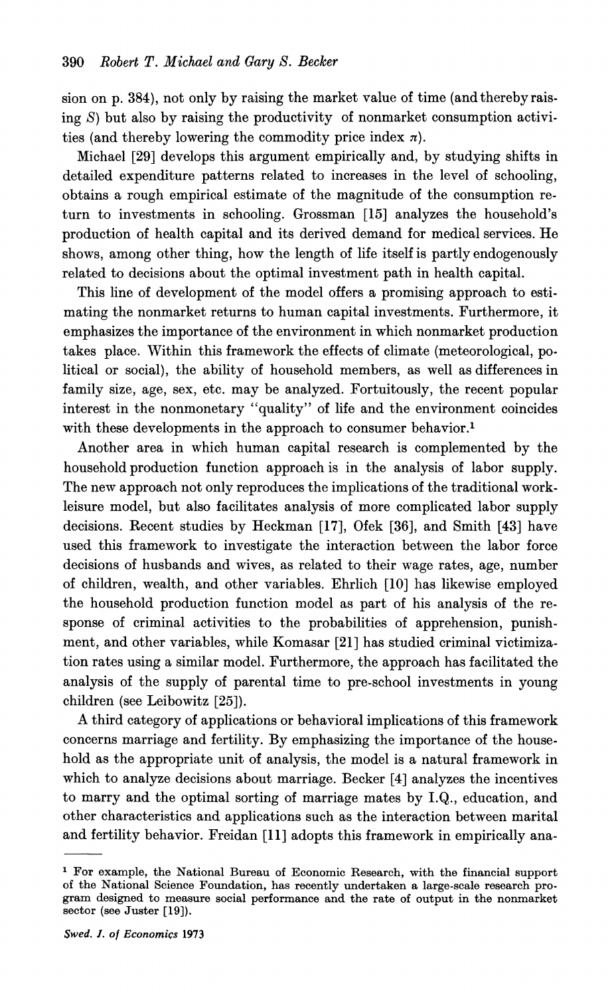**sion on p. 384), not only by raising the market value of time (and thereby raising S) but also by raising the productivity of nonmarket consumption activi**ties (and thereby lowering the commodity price index  $\pi$ ).

**Michael [29] develops this argument empirically and, by studying shifts in detailed expenditure patterns related to increases in the level of schooling, obtains a rough empirical estimate of the magnitude of the consumption return to investments in schooling. Grossman [15] analyzes the household's production of health capital and its derived demand for medical services. He shows, among other thing, how the length of life itself is partly endogenously related to decisions about the optimal investment path in health capital.** 

**This line of development of the model offers a promising approach to estimating the nonmarket returns to human capital investments. Furthermore, it emphasizes the importance of the environment in which nonmarket production takes place. Within this framework the effects of climate (meteorological, political or social), the ability of household members, as well as differences in family size, age, sex, etc. may be analyzed. Fortuitously, the recent popular interest in the nonmonetary "quality" of life and the environment coincides with these developments in the approach to consumer behavior.'** 

**Another area in which human capital research is complemented by the household production function approach is in the analysis of labor supply. The new approach not only reproduces the implications of the traditional workleisure model, but also facilitates analysis of more complicated labor supply decisions. Recent studies by Heckman [17], Ofek [36], and Smith [43] have used this framework to investigate the interaction between the labor force decisions of husbands and wives, as related to their wage rates, age, number of children, wealth, and other variables. Ehrlich [10] has likewise employed the household production function model as part of his analysis of the response of criminal activities to the probabilities of apprehension, punishment, and other variables, while Komasar [21] has studied criminal victimization rates using a similar model. Furthermore, the approach has facilitated the analysis of the supply of parental time to pre-school investments in young children (see Leibowitz [25]).** 

**A third category of applications or behavioral implications of this framework concerns marriage and fertility. By emphasizing the importance of the household as the appropriate unit of analysis, the model is a natural framework in which to analyze decisions about marriage. Becker [4] analyzes the incentives to marry and the optimal sorting of marriage mates by I.Q., education, and other characteristics and applications such as the interaction between marital and fertility behavior. Freidan [11] adopts this framework in empirically ana-**

**<sup>1</sup>For example, the National Bureau of Economic Research, with the financial support of the National Science Foundation, has recently undertaken a large-scale research program designed to measure social performance and the rate of output in the nonmarket sector (see Juster [19]).**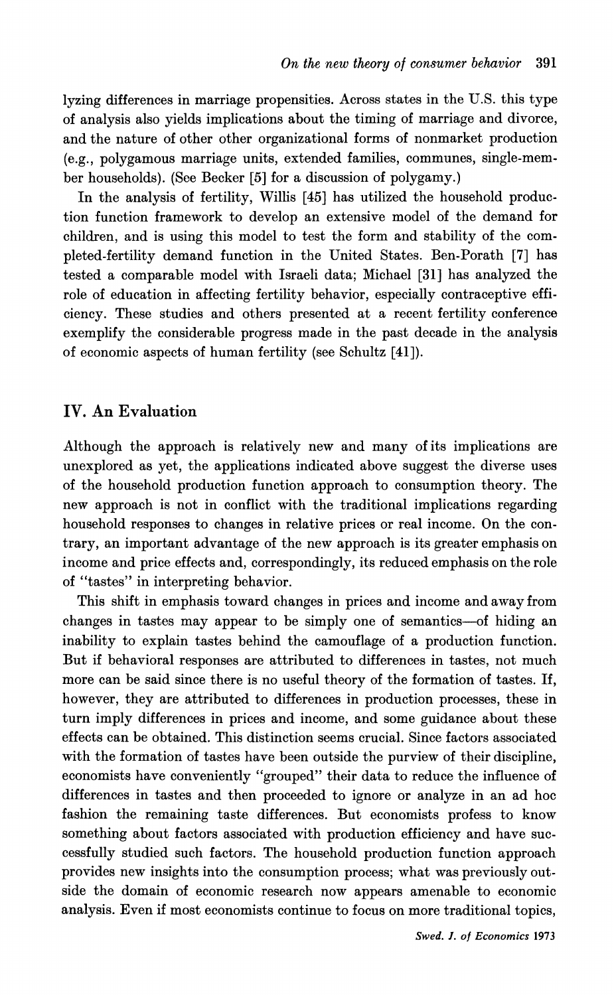**lyzing differences in marriage propensities. Across states in the U.S. this type of analysis also yields implications about the timing of marriage and divorce, and the nature of other other organizational forms of nonmarket production (e.g., polygamous marriage units, extended families, communes, single-member households). (See Becker [5] for a discussion of polygamy.)** 

**In the analysis of fertility, Willis [45] has utilized the household production function framework to develop an extensive model of the demand for children, and is using this model to test the form and stability of the completed-fertility demand function in the United States. Ben-Porath [7] has tested a comparable model with Israeli data; Michael [31] has analyzed the role of education in affecting fertility behavior, especially contraceptive efficiency. These studies and others presented at a recent fertility conference exemplify the considerable progress made in the past decade in the analysis of economic aspects of human fertility (see Schultz [41]).** 

## **IV. An Evaluation**

**Although the approach is relatively new and many of its implications are unexplored as yet, the applications indicated above suggest the diverse uses of the household production function approach to consumption theory. The new approach is not in conflict with the traditional implications regarding household responses to changes in relative prices or real income. On the contrary, an important advantage of the new approach is its greater emphasis on income and price effects and, correspondingly, its reduced emphasis on the role of "tastes" in interpreting behavior.** 

**This shift in emphasis toward changes in prices and income and away from changes in tastes may appear to be simply one of semantics-of hiding an inability to explain tastes behind the camouflage of a production function. But if behavioral responses are attributed to differences in tastes, not much more can be said since there is no useful theory of the formation of tastes. If, however, they are attributed to differences in production processes, these in turn imply differences in prices and income, and some guidance about these effects can be obtained. This distinction seems crucial. Since factors associated with the formation of tastes have been outside the purview of their discipline, economists have conveniently "grouped" their data to reduce the influence of differences in tastes and then proceeded to ignore or analyze in an ad hoc fashion the remaining taste differences. But economists profess to know something about factors associated with production efficiency and have successfully studied such factors. The household production function approach provides new insights into the consumption process; what was previously outside the domain of economic research now appears amenable to economic analysis. Even if most economists continue to focus on more traditional topics,**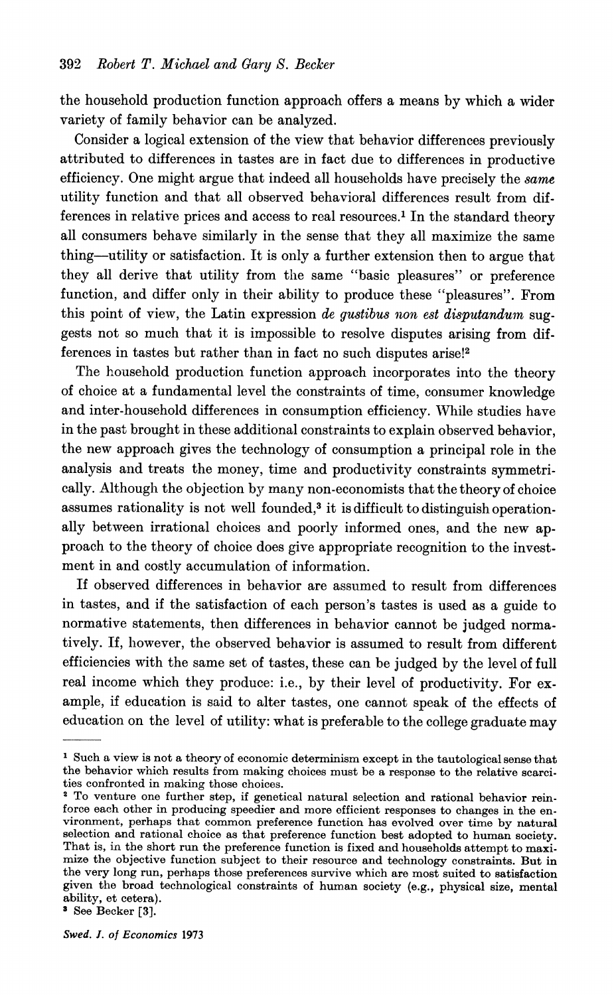**the household production function approach offers a means by which a wider variety of family behavior can be analyzed.** 

**Consider a logical extension of the view that behavior differences previously attributed to differences in tastes are in fact due to differences in productive efficiency. One might argue that indeed all households have precisely the same utility function and that all observed behavioral differences result from differences in relative prices and access to real resources.l In the standard theory all consumers behave similarly in the sense that they all maximize the same thing-utility or satisfaction. It is only a further extension then to argue that they all derive that utility from the same "basic pleasures" or preference function, and differ only in their ability to produce these "pleasures". From this point of view, the Latin expression de gustibus non est disputandum suggests not so much that it is impossible to resolve disputes arising from differences in tastes but rather than in fact no such disputes arise!2** 

**The household production function approach incorporates into the theory of choice at a fundamental level the constraints of time, consumer knowledge and inter-household differences in consumption efficiency. While studies have in the past brought in these additional constraints to explain observed behavior, the new approach gives the technology of consumption a principal role in the analysis and treats the money, time and productivity constraints symmetrically. Although the objection by many non-economists that the theory of choice**  assumes rationality is not well founded,<sup>3</sup> it is difficult to distinguish operation**ally between irrational choices and poorly informed ones, and the new approach to the theory of choice does give appropriate recognition to the investment in and costly accumulation of information.** 

**If observed differences in behavior are assumed to result from differences in tastes, and if the satisfaction of each person's tastes is used as a guide to normative statements, then differences in behavior cannot be judged normatively. If, however, the observed behavior is assumed to result from different efficiencies with the same set of tastes, these can be judged by the level of full**  real income which they produce: i.e., by their level of productivity. For ex**ample, if education is said to alter tastes, one cannot speak of the effects of education on the level of utility: what is preferable to the college graduate may** 

**<sup>1</sup> Such a view is not a theory of economic determinism except in the tautological sense that the behavior which results from making choices must be a response to the relative scarcities confronted in making those choices.** 

**<sup>2</sup> To venture one further step, if genetical natural selection and rational behavior rein**force each other in producing speedier and more efficient responses to changes in the en**vironment, perhaps that common preference function has evolved over time by natural selection and rational choice as that preference function best adopted to human society. That is, in the short run the preference function is fixed and households attempt to maximize the objective function subject to their resource and technology constraints. But in the very long run, perhaps those preferences survive which are most suited to satisfaction given the broad technological constraints of human society (e.g., physical size, mental ability, et cetera).** 

**<sup>3</sup>See Becker [3].**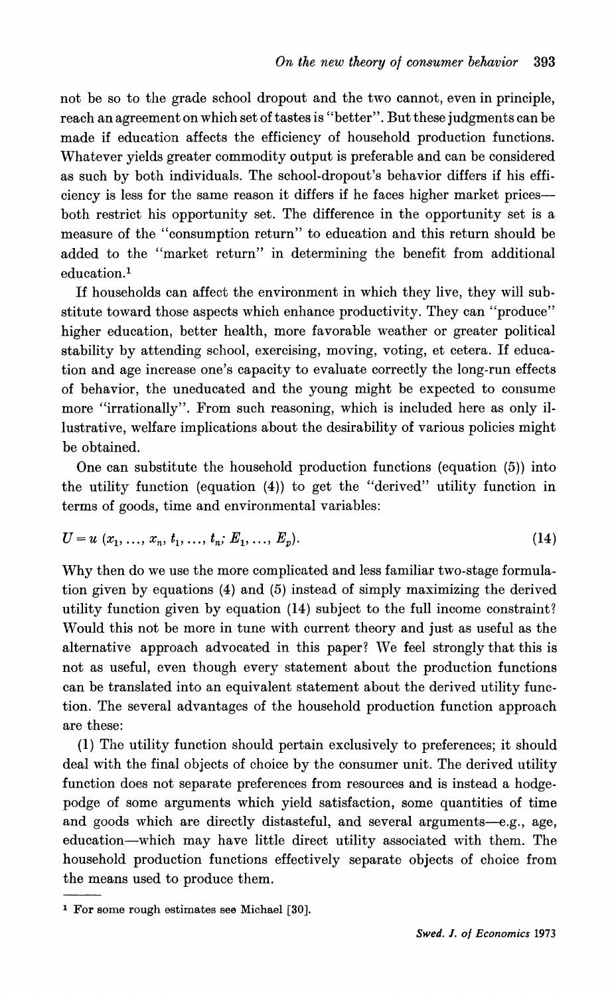**not be so to the grade school dropout and the two cannot, even in principle, reach an agreement on which set of tastes is "better". But these judgments can be made if education affects the efficiency of household production functions. Whatever yields greater commodity output is preferable and can be considered as such by both individuals. The school-dropout's behavior differs if his efficiency is less for the same reason it differs if he faces higher market pricesboth restrict his opportunity set. The difference in the opportunity set is a measure of the "consumption return" to education and this return should be added to the "market return" in determining the benefit from additional education.l** 

**If households can affect the environment in which they live, they will substitute toward those aspects which enhance productivity. They can "produce" higher education, better health, more favorable weather or greater political stability by attending school, exercising, moving, voting, et cetera. If education and age increase one's capacity to evaluate correctly the long-run effects of behavior, the uneducated and the young might be expected to consume more "irrationally". From such reasoning, which is included here as only illustrative, welfare implications about the desirability of various policies might be obtained.** 

**One can substitute the household production functions (equation (5)) into the utility function (equation (4)) to get the "derived" utility function in terms of goods, time and environmental variables:** 

$$
U = u \ (x_1, \ldots, \, x_n, \, t_1, \ldots, \, t_n; \, E_1, \ldots, \, E_p). \tag{14}
$$

**Why then do we use the more complicated and less familiar two-stage formulation given by equations (4) and (5) instead of simply maximizing the derived utility function given by equation (14) subject to the full income constraint? Would this not be more in tune with current theory and just as useful as the alternative approach advocated in this paper? We feel strongly that this is not as useful, even though every statement about the production functions can be translated into an equivalent statement about the derived utility function. The several advantages of the household production function approach are these:** 

**(1) The utility function should pertain exclusively to preferences; it should deal with the final objects of choice by the consumer unit. The derived utility function does not separate preferences from resources and is instead a hodgepodge of some arguments which yield satisfaction, some quantities of time**  and goods which are directly distasteful, and several arguments-e.g., age, **education-which may have little direct utility associated with them. The household production functions effectively separate objects of choice from the means used to produce them.** 

**<sup>1</sup> For some rough estimates see Michael [30].**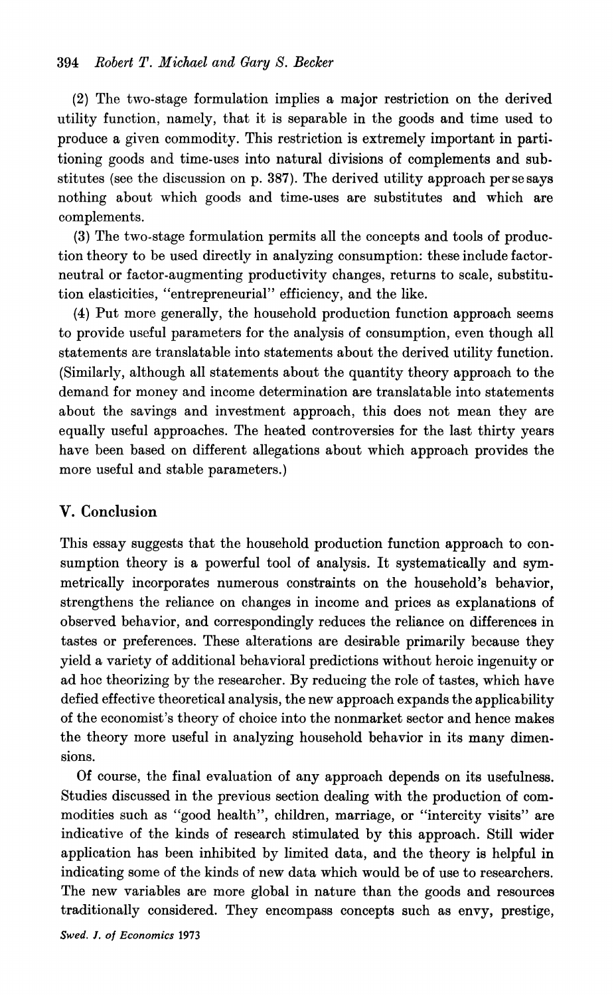**(2) The two-stage formulation implies a major restriction on the derived utility function, namely, that it is separable in the goods and time used to produce a given commodity. This restriction is extremely important in partitioning goods and time-uses into natural divisions of complements and substitutes (see the discussion on p. 387). The derived utility approach perse says nothing about which goods and time-uses are substitutes and which are complements.** 

**(3) The two-stage formulation permits all the concepts and tools of production theory to be used directly in analyzing consumption: these include factorneutral or factor-augmenting productivity changes, returns to scale, substitution elasticities, "entrepreneurial" efficiency, and the like.** 

**(4) Put more generally, the household production function approach seems to provide useful parameters for the analysis of consumption, even though all statements are translatable into statements about the derived utility function. (Similarly, although all statements about the quantity theory approach to the demand for money and income determination are translatable into statements about the savings and investment approach, this does not mean they are equally useful approaches. The heated controversies for the last thirty years have been based on different allegations about which approach provides the more useful and stable parameters.)** 

# **V. Conclusion**

**This essay suggests that the household production function approach to consumption theory is a powerful tool of analysis. It systematically and symmetrically incorporates numerous constraints on the household's behavior, strengthens the reliance on changes in income and prices as explanations of observed behavior, and correspondingly reduces the reliance on differences in tastes or preferences. These alterations are desirable primarily because they yield a variety of additional behavioral predictions without heroic ingenuity or ad hoc theorizing by the researcher. By reducing the role of tastes, which have defied effective theoretical analysis, the new approach expands the applicability of the economist's theory of choice into the nonmarket sector and hence makes the theory more useful in analyzing household behavior in its many dimensions.** 

**Of course, the final evaluation of any approach depends on its usefulness. Studies discussed in the previous section dealing with the production of commodities such as "good health", children, marriage, or "intercity visits" are indicative of the kinds of research stimulated by this approach. Still wider application has been inhibited by limited data, and the theory is helpful in indicating some of the kinds of new data which would be of use to researchers. The new variables are more global in nature than the goods and resources traditionally considered. They encompass concepts such as envy, prestige,**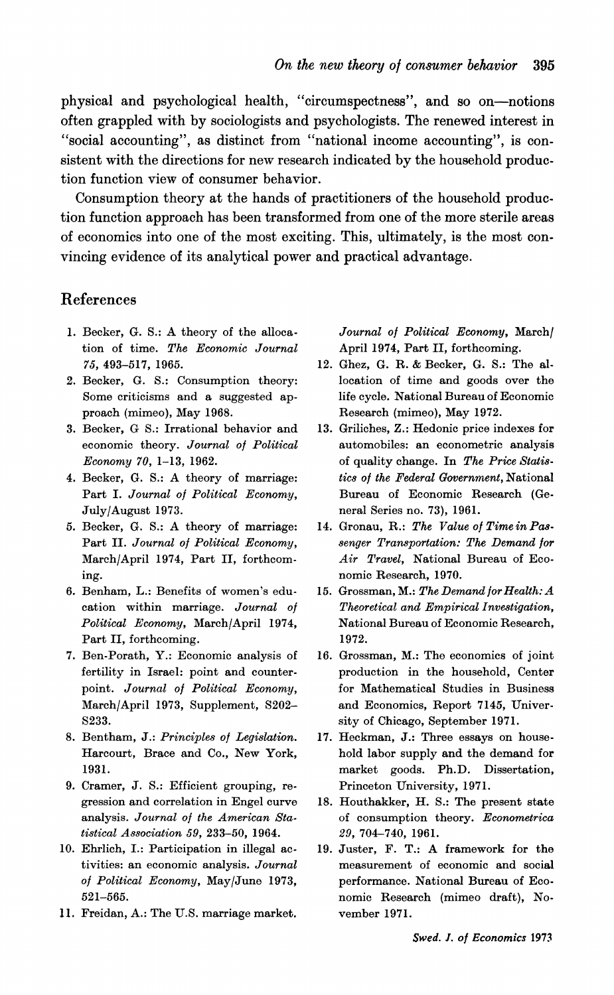**physical and psychological health, "circumspectness", and so on-notions often grappled with by sociologists and psychologists. The renewed interest in "social accounting", as distinct from "national income accounting", is consistent with the directions for new research indicated by the household production function view of consumer behavior.** 

**Consumption theory at the hands of practitioners of the household production function approach has been transformed from one of the more sterile areas of economics into one of the most exciting. This, ultimately, is the most convincing evidence of its analytical power and practical advantage.** 

# **References**

- **1. Becker, G. S.: A theory of the allocation of time. The Economic Journal 75, 493-517, 1965.**
- **2. Becker, G. S.: Consumption theory: Some criticisms and a suggested approach (mimeo), May 1968.**
- **3. Becker, G S.: Irrational behavior and economic theory. Journal of Political Economy 70, 1-13, 1962.**
- **4. Becker, G. S.: A theory of marriage: Part I. Journal of Political Economy, July/August 1973.**
- **5. Becker, G. S.: A theory of marriage: Part II. Journal of Political Economy, March/April 1974, Part II, forthcoming.**
- **6. Benham, L.: Benefits of women's education within marriage. Journal of Political Economy, March/April 1974, Part II, forthcoming.**
- **7. Ben-Porath, Y.: Economic analysis of fertility in Israel: point and counterpoint. Journal of Political Economy, March/April 1973, Supplement, S202- S233.**
- **8. Bentham, J.: Principles of Legislation. Harcourt, Brace and Co., New York, 1931.**
- **9. Cramer, J. S.: Efficient grouping, regression and correlation in Engel curve analysis. Journal of the American Statistical Association 59, 233-50, 1964.**
- **10. Ehrlich, I.: Participation in illegal activities: an economic analysis. Journal of Political Economy, May/June 1973, 521-565.**
- **11. Freidan, A.: The U.S. marriage market.**

**Journal of Political Economy, March/ April 1974, Part II, forthcoming.** 

- **12. Ghez, G. R. & Becker, G. S.: The allocation of time and goods over the life cycle. National Bureau of Economic Research (mimeo), May 1972.**
- **13. Griliches, Z.: Hedonic price indexes for automobiles: an econometric analysis of quality change. In The Price Statistics of the Federal Government, National Bureau of Economic Research (General Series no. 73), 1961.**
- **14. Gronau, R.: The Value of Time in Passenger Transportation: The Demand for Air Travel, National Bureau of Economic Research, 1970.**
- **15. Grossman, M.: The Demand for Health: A Theoretical and Empirical Investigation, National Bureau of Economic Research, 1972.**
- **16. Grossman, M.: The economics of joint production in the household, Center for Mathematical Studies in Business and Economics, Report 7145, University of Chicago, September 1971.**
- **17. Heckman, J.: Three essays on household labor supply and the demand for market goods. Ph.D. Dissertation, Princeton University, 1971.**
- **18. Houthakker, I. S.: The present state of consumption theory. Econometrica 29, 704-740, 1961.**
- **19. Juster, F. T.: A framework for the measurement of economic and social performance. National Bureau of Economic Research (mimeo draft), November 1971.**